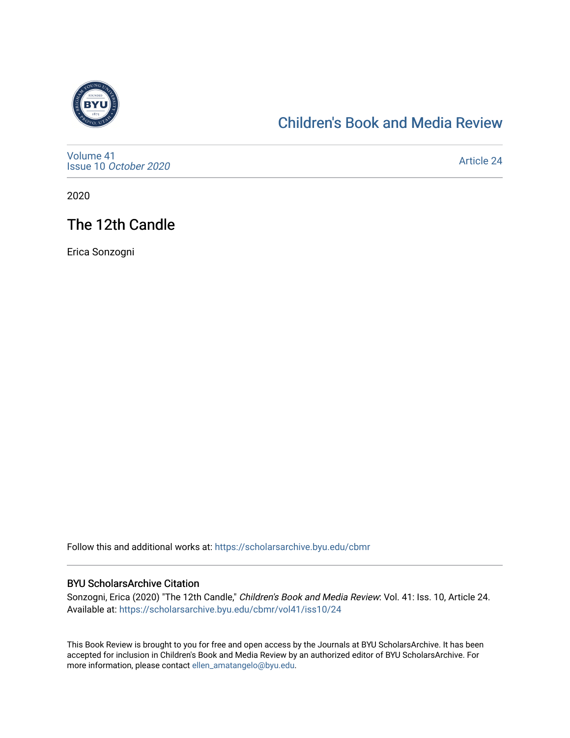

# [Children's Book and Media Review](https://scholarsarchive.byu.edu/cbmr)

[Volume 41](https://scholarsarchive.byu.edu/cbmr/vol41) Issue 10 [October 2020](https://scholarsarchive.byu.edu/cbmr/vol41/iss10)

[Article 24](https://scholarsarchive.byu.edu/cbmr/vol41/iss10/24) 

2020

# The 12th Candle

Erica Sonzogni

Follow this and additional works at: [https://scholarsarchive.byu.edu/cbmr](https://scholarsarchive.byu.edu/cbmr?utm_source=scholarsarchive.byu.edu%2Fcbmr%2Fvol41%2Fiss10%2F24&utm_medium=PDF&utm_campaign=PDFCoverPages) 

#### BYU ScholarsArchive Citation

Sonzogni, Erica (2020) "The 12th Candle," Children's Book and Media Review: Vol. 41: Iss. 10, Article 24. Available at: [https://scholarsarchive.byu.edu/cbmr/vol41/iss10/24](https://scholarsarchive.byu.edu/cbmr/vol41/iss10/24?utm_source=scholarsarchive.byu.edu%2Fcbmr%2Fvol41%2Fiss10%2F24&utm_medium=PDF&utm_campaign=PDFCoverPages) 

This Book Review is brought to you for free and open access by the Journals at BYU ScholarsArchive. It has been accepted for inclusion in Children's Book and Media Review by an authorized editor of BYU ScholarsArchive. For more information, please contact [ellen\\_amatangelo@byu.edu.](mailto:ellen_amatangelo@byu.edu)